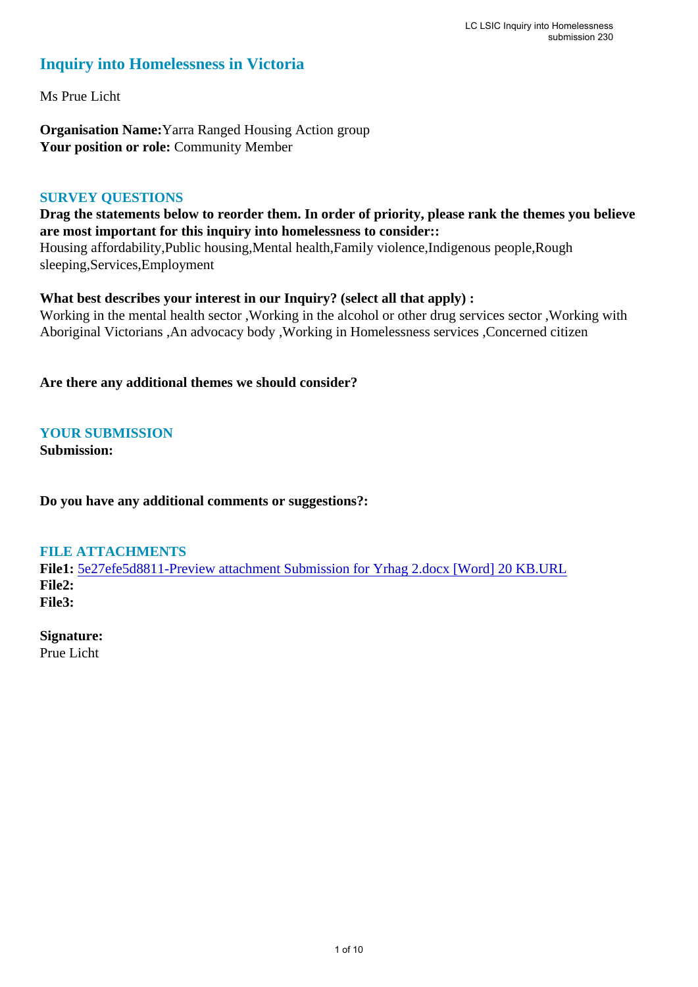## **Inquiry into Homelessness in Victoria**

Ms Prue Licht

**Organisation Name:**Yarra Ranged Housing Action group **Your position or role:** Community Member

#### **SURVEY QUESTIONS**

### **Drag the statements below to reorder them. In order of priority, please rank the themes you believe are most important for this inquiry into homelessness to consider::**

Housing affordability,Public housing,Mental health,Family violence,Indigenous people,Rough sleeping,Services,Employment

### **What best describes your interest in our Inquiry? (select all that apply) :**

Working in the mental health sector ,Working in the alcohol or other drug services sector ,Working with Aboriginal Victorians ,An advocacy body ,Working in Homelessness services ,Concerned citizen

**Are there any additional themes we should consider?**

### **YOUR SUBMISSION**

**Submission:** 

**Do you have any additional comments or suggestions?:** 

### **FILE ATTACHMENTS**

**File1:** 5e27efe5d8811-Preview attachment Submission for Yrhag 2.docx [Word] 20 KB.URL **File2: File3:** 

# **Signature:**

Prue Licht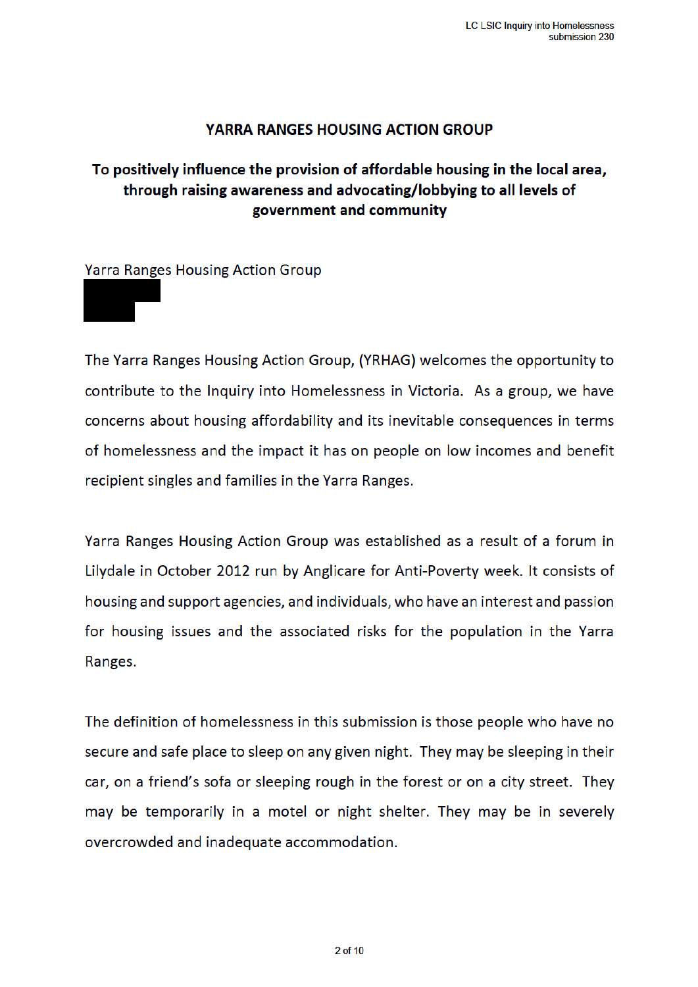### **YARRA RANGES HOUSING ACTION GROUP**

# To positively influence the provision of affordable housing in the local area, through raising awareness and advocating/lobbying to all levels of government and community

**Yarra Ranges Housing Action Group** 

The Yarra Ranges Housing Action Group, (YRHAG) welcomes the opportunity to contribute to the Inquiry into Homelessness in Victoria. As a group, we have concerns about housing affordability and its inevitable consequences in terms of homelessness and the impact it has on people on low incomes and benefit recipient singles and families in the Yarra Ranges.

Yarra Ranges Housing Action Group was established as a result of a forum in Lilydale in October 2012 run by Anglicare for Anti-Poverty week. It consists of housing and support agencies, and individuals, who have an interest and passion for housing issues and the associated risks for the population in the Yarra Ranges.

The definition of homelessness in this submission is those people who have no secure and safe place to sleep on any given night. They may be sleeping in their car, on a friend's sofa or sleeping rough in the forest or on a city street. They may be temporarily in a motel or night shelter. They may be in severely overcrowded and inadequate accommodation.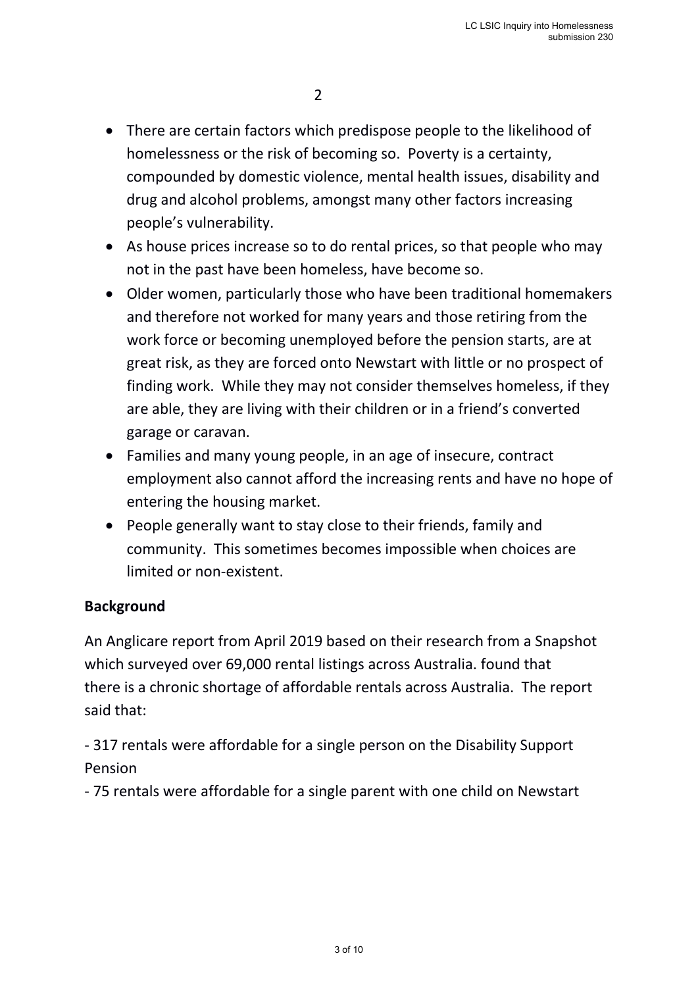- There are certain factors which predispose people to the likelihood of homelessness or the risk of becoming so. Poverty is a certainty, compounded by domestic violence, mental health issues, disability and drug and alcohol problems, amongst many other factors increasing people's vulnerability.
- As house prices increase so to do rental prices, so that people who may not in the past have been homeless, have become so.
- Older women, particularly those who have been traditional homemakers and therefore not worked for many years and those retiring from the work force or becoming unemployed before the pension starts, are at great risk, as they are forced onto Newstart with little or no prospect of finding work. While they may not consider themselves homeless, if they are able, they are living with their children or in a friend's converted garage or caravan.
- Families and many young people, in an age of insecure, contract employment also cannot afford the increasing rents and have no hope of entering the housing market.
- People generally want to stay close to their friends, family and community. This sometimes becomes impossible when choices are limited or non-existent.

# **Background**

An Anglicare report from April 2019 based on their research from a Snapshot which surveyed over 69,000 rental listings across Australia. found that there is a chronic shortage of affordable rentals across Australia. The report said that:

- 317 rentals were affordable for a single person on the Disability Support Pension

- 75 rentals were affordable for a single parent with one child on Newstart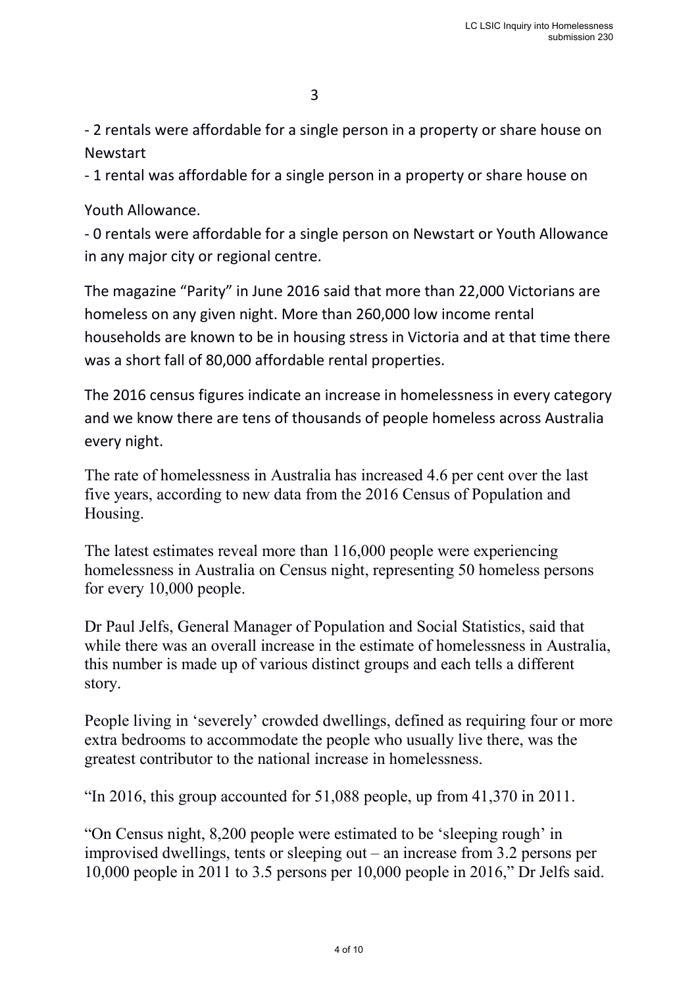- 2 rentals were affordable for a single person in a property or share house on Newstart

- 1 rental was affordable for a single person in a property or share house on

Youth Allowance.

- 0 rentals were affordable for a single person on Newstart or Youth Allowance in any major city or regional centre.

The magazine "Parity" in June 2016 said that more than 22,000 Victorians are homeless on any given night. More than 260,000 low income rental households are known to be in housing stress in Victoria and at that time there was a short fall of 80,000 affordable rental properties.

The 2016 census figures indicate an increase in homelessness in every category and we know there are tens of thousands of people homeless across Australia every night.

The rate of homelessness in Australia has increased 4.6 per cent over the last five years, according to new data from the 2016 Census of Population and Housing.

The latest estimates reveal more than 116,000 people were experiencing homelessness in Australia on Census night, representing 50 homeless persons for every 10,000 people.

Dr Paul Jelfs, General Manager of Population and Social Statistics, said that while there was an overall increase in the estimate of homelessness in Australia, this number is made up of various distinct groups and each tells a different story.

People living in 'severely' crowded dwellings, defined as requiring four or more extra bedrooms to accommodate the people who usually live there, was the greatest contributor to the national increase in homelessness.

"In 2016, this group accounted for 51,088 people, up from 41,370 in 2011.

"On Census night, 8,200 people were estimated to be 'sleeping rough' in improvised dwellings, tents or sleeping out – an increase from 3.2 persons per 10,000 people in 2011 to 3.5 persons per 10,000 people in 2016," Dr Jelfs said.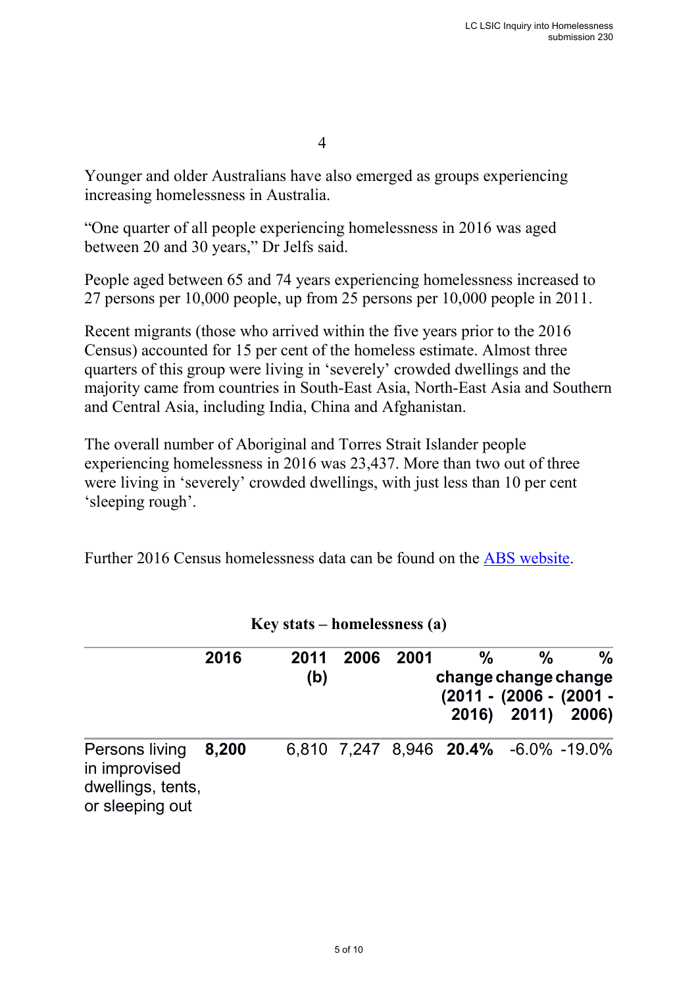4

Younger and older Australians have also emerged as groups experiencing increasing homelessness in Australia.

"One quarter of all people experiencing homelessness in 2016 was aged between 20 and 30 years," Dr Jelfs said.

People aged between 65 and 74 years experiencing homelessness increased to 27 persons per 10,000 people, up from 25 persons per 10,000 people in 2011.

Recent migrants (those who arrived within the five years prior to the 2016 Census) accounted for 15 per cent of the homeless estimate. Almost three quarters of this group were living in 'severely' crowded dwellings and the majority came from countries in South-East Asia, North-East Asia and Southern and Central Asia, including India, China and Afghanistan.

The overall number of Aboriginal and Torres Strait Islander people experiencing homelessness in 2016 was 23,437. More than two out of three were living in 'severely' crowded dwellings, with just less than 10 per cent 'sleeping rough'.

Further 2016 Census homelessness data can be found on the ABS website.

| $= 10, 00000$ $= 100000000000000$                                       |       |  |             |      |      |                                               |                                                   |      |  |  |  |
|-------------------------------------------------------------------------|-------|--|-------------|------|------|-----------------------------------------------|---------------------------------------------------|------|--|--|--|
|                                                                         | 2016  |  | 2011<br>(b) | 2006 | 2001 | $\frac{0}{0}$<br>change change change         | %<br>(2011 - (2006 - (2001 -<br>2016) 2011) 2006) | $\%$ |  |  |  |
| Persons living<br>in improvised<br>dwellings, tents,<br>or sleeping out | 8,200 |  |             |      |      | $6.810$ 7.247 8.946 <b>20.4%</b> -6.0% -19.0% |                                                   |      |  |  |  |

**Key stats – homelessness (a)**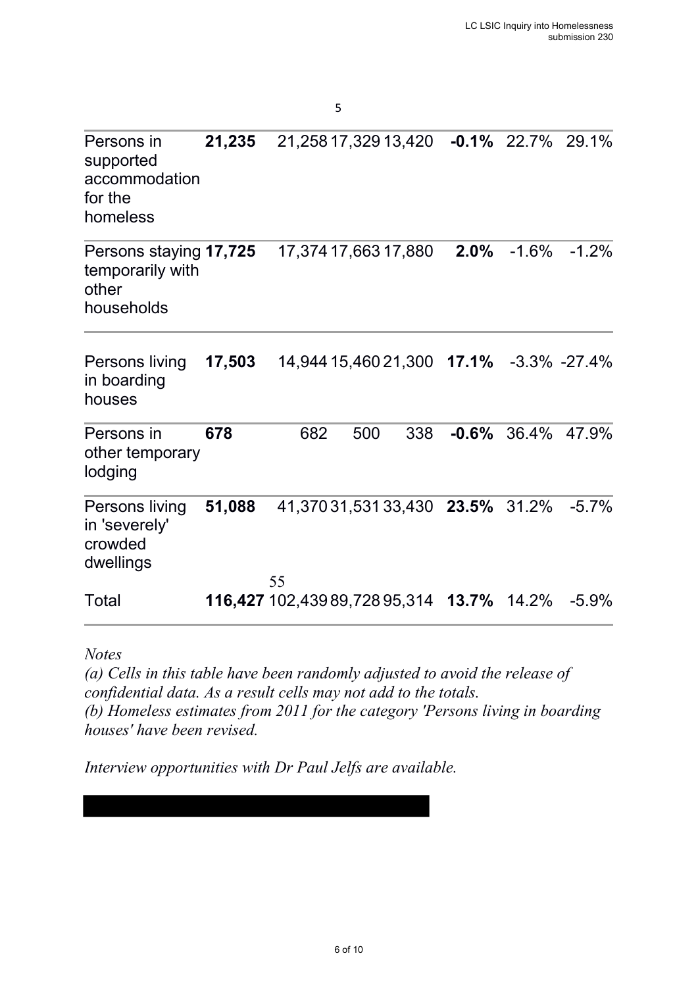| Persons in<br>supported<br>accommodation<br>for the<br>homeless   | 21,235 | 21,258 17,329 13,420 -0.1% 22.7% 29.1%                  |     |     |         |         |                  |
|-------------------------------------------------------------------|--------|---------------------------------------------------------|-----|-----|---------|---------|------------------|
| Persons staying 17,725<br>temporarily with<br>other<br>households |        | 17,374 17,663 17,880                                    |     |     | $2.0\%$ | $-1.6%$ | $-1.2%$          |
| Persons living<br>in boarding<br>houses                           | 17,503 | 14,944 15,460 21,300 17.1%                              |     |     |         |         | $-3.3\% -27.4\%$ |
| Persons in<br>other temporary<br>lodging                          | 678    | 682                                                     | 500 | 338 | $-0.6%$ | 36.4%   | 47.9%            |
| Persons living<br>in 'severely'<br>crowded<br>dwellings           | 51,088 | 41,370 31,531 33,430 23.5% 31.2%                        |     |     |         |         | $-5.7%$          |
| Total                                                             |        | 55<br><b>116,427</b> 102,439 89,728 95,314 <b>13.7%</b> |     |     |         | 14.2%   | $-5.9%$          |

 $\sim$  5

*Notes*

*(a) Cells in this table have been randomly adjusted to avoid the release of confidential data. As a result cells may not add to the totals. (b) Homeless estimates from 2011 for the category 'Persons living in boarding houses' have been revised.* 

*Interview opportunities with Dr Paul Jelfs are available.*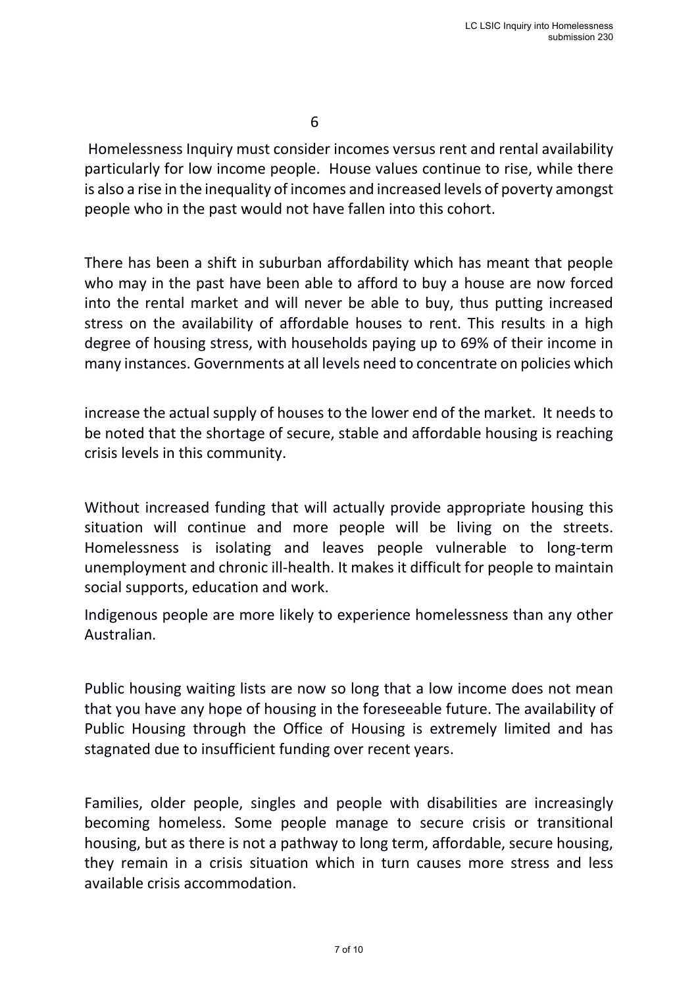$\sim$  6

Homelessness Inquiry must consider incomes versus rent and rental availability particularly for low income people. House values continue to rise, while there is also a rise in the inequality of incomes and increased levels of poverty amongst people who in the past would not have fallen into this cohort.

There has been a shift in suburban affordability which has meant that people who may in the past have been able to afford to buy a house are now forced into the rental market and will never be able to buy, thus putting increased stress on the availability of affordable houses to rent. This results in a high degree of housing stress, with households paying up to 69% of their income in many instances. Governments at all levels need to concentrate on policies which

increase the actual supply of houses to the lower end of the market. It needs to be noted that the shortage of secure, stable and affordable housing is reaching crisis levels in this community.

Without increased funding that will actually provide appropriate housing this situation will continue and more people will be living on the streets. Homelessness is isolating and leaves people vulnerable to long-term unemployment and chronic ill-health. It makes it difficult for people to maintain social supports, education and work.

Indigenous people are more likely to experience homelessness than any other Australian.

Public housing waiting lists are now so long that a low income does not mean that you have any hope of housing in the foreseeable future. The availability of Public Housing through the Office of Housing is extremely limited and has stagnated due to insufficient funding over recent years.

Families, older people, singles and people with disabilities are increasingly becoming homeless. Some people manage to secure crisis or transitional housing, but as there is not a pathway to long term, affordable, secure housing, they remain in a crisis situation which in turn causes more stress and less available crisis accommodation.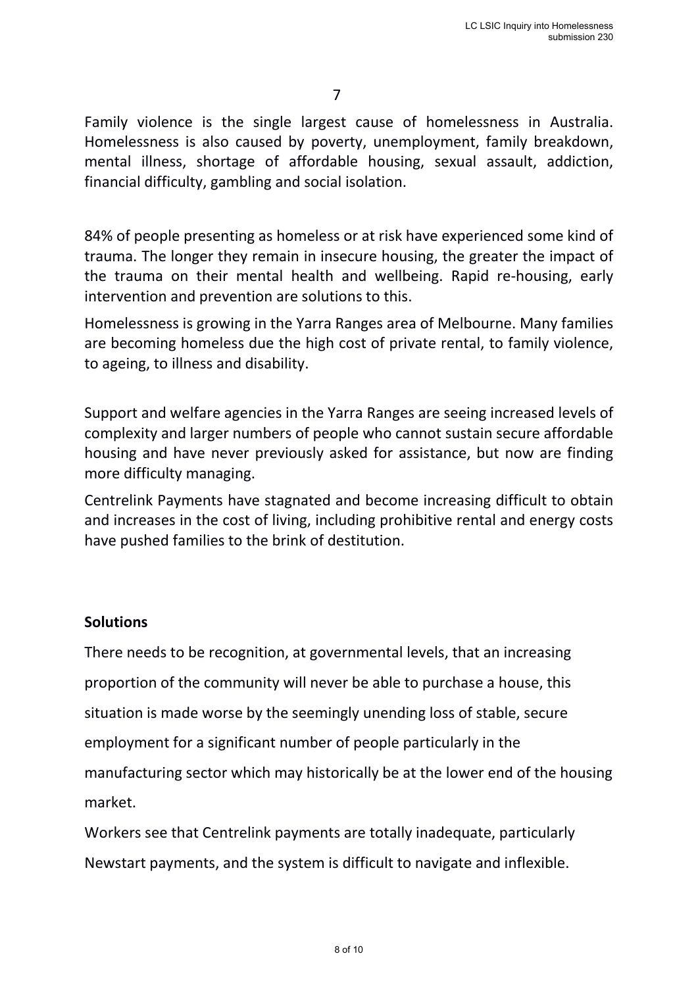Family violence is the single largest cause of homelessness in Australia. Homelessness is also caused by poverty, unemployment, family breakdown, mental illness, shortage of affordable housing, sexual assault, addiction, financial difficulty, gambling and social isolation.

84% of people presenting as homeless or at risk have experienced some kind of trauma. The longer they remain in insecure housing, the greater the impact of the trauma on their mental health and wellbeing. Rapid re-housing, early intervention and prevention are solutions to this.

Homelessness is growing in the Yarra Ranges area of Melbourne. Many families are becoming homeless due the high cost of private rental, to family violence, to ageing, to illness and disability.

Support and welfare agencies in the Yarra Ranges are seeing increased levels of complexity and larger numbers of people who cannot sustain secure affordable housing and have never previously asked for assistance, but now are finding more difficulty managing.

Centrelink Payments have stagnated and become increasing difficult to obtain and increases in the cost of living, including prohibitive rental and energy costs have pushed families to the brink of destitution.

## **Solutions**

There needs to be recognition, at governmental levels, that an increasing proportion of the community will never be able to purchase a house, this situation is made worse by the seemingly unending loss of stable, secure employment for a significant number of people particularly in the manufacturing sector which may historically be at the lower end of the housing market.

Workers see that Centrelink payments are totally inadequate, particularly Newstart payments, and the system is difficult to navigate and inflexible.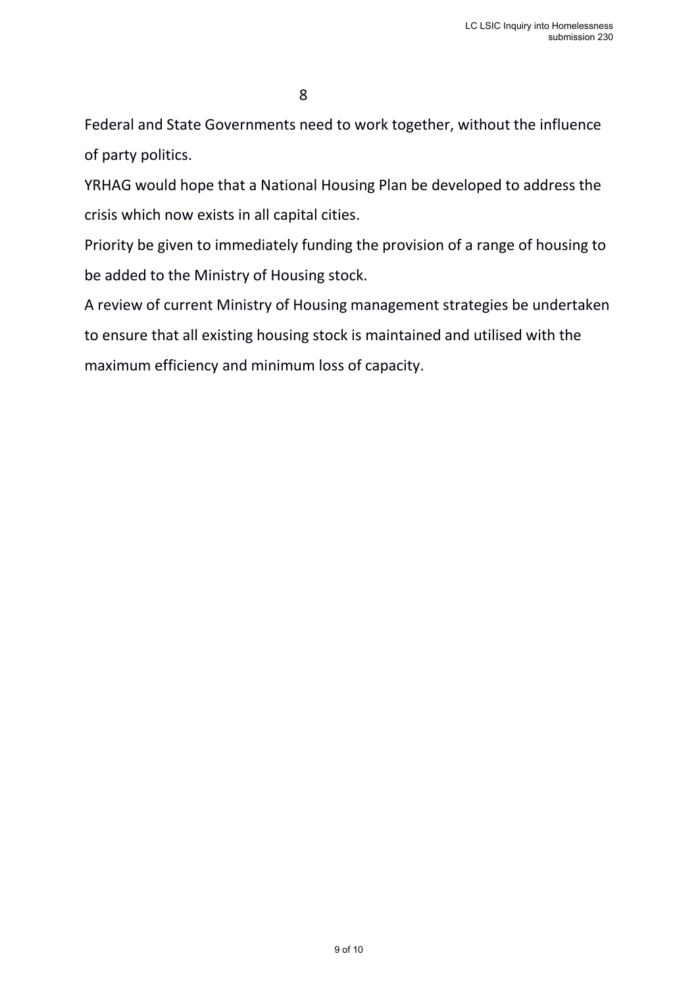Federal and State Governments need to work together, without the influence of party politics.

YRHAG would hope that a National Housing Plan be developed to address the crisis which now exists in all capital cities.

Priority be given to immediately funding the provision of a range of housing to be added to the Ministry of Housing stock.

A review of current Ministry of Housing management strategies be undertaken to ensure that all existing housing stock is maintained and utilised with the maximum efficiency and minimum loss of capacity.